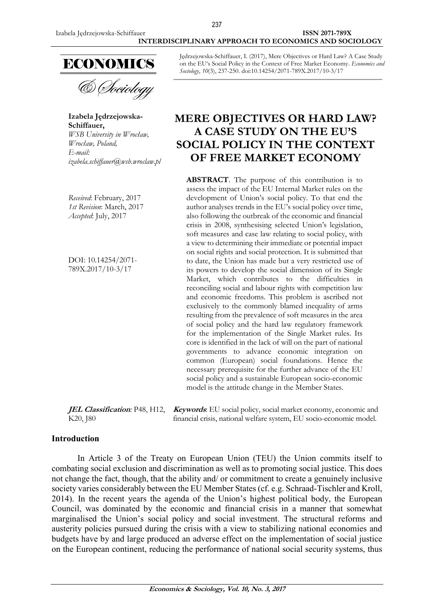

& *Dociology* 

**Izabela Jędrzejowska-Schiffauer,** *WSB University in Wrocław, Wrocław, Poland, E-mail: [izabela.schiffauer@wsb.wroclaw.pl](mailto:izabela.schiffauer@wsb.wroclaw.pl)*

*Received*: February, 2017 *1st Revision*: March, 2017 *Accepted*: July, 2017

DOI: 10.14254/2071- 789X.2017/10-3/17

Jędrzejowska-Schiffauer, I. (2017), Mere Objectives or Hard Law? A Case Study on the EU's Social Policy in the Context of Free Market Economy. *Economics and Sociology*, *10*(3), 237-250. doi:10.14254/2071-789X.2017/10-3/17

# **MERE OBJECTIVES OR HARD LAW? A CASE STUDY ON THE EU'S SOCIAL POLICY IN THE CONTEXT OF FREE MARKET ECONOMY**

**ABSTRACT**. The purpose of this contribution is to assess the impact of the EU Internal Market rules on the development of Union's social policy. To that end the author analyses trends in the EU's social policy over time, also following the outbreak of the economic and financial crisis in 2008, synthesising selected Union's legislation, soft measures and case law relating to social policy, with a view to determining their immediate or potential impact on social rights and social protection. It is submitted that to date, the Union has made but a very restricted use of its powers to develop the social dimension of its Single Market, which contributes to the difficulties in reconciling social and labour rights with competition law and economic freedoms. This problem is ascribed not exclusively to the commonly blamed inequality of arms resulting from the prevalence of soft measures in the area of social policy and the hard law regulatory framework for the implementation of the Single Market rules. Its core is identified in the lack of will on the part of national governments to advance economic integration on common (European) social foundations. Hence the necessary prerequisite for the further advance of the EU social policy and a sustainable European socio-economic model is the attitude change in the Member States.

**JEL Classification***:* P48, H12, K20, J80 **Keywords**: EU social policy, social market economy, economic and financial crisis, national welfare system, EU socio-economic model.

## **Introduction**

In Article 3 of the Treaty on European Union (TEU) the Union commits itself to combating social exclusion and discrimination as well as to promoting social justice. This does not change the fact, though, that the ability and/ or commitment to create a genuinely inclusive society varies considerably between the EU Member States (cf. e.g. Schraad-Tischler and Kroll, 2014). In the recent years the agenda of the Union's highest political body, the European Council, was dominated by the economic and financial crisis in a manner that somewhat marginalised the Union's social policy and social investment. The structural reforms and austerity policies pursued during the crisis with a view to stabilizing national economies and budgets have by and large produced an adverse effect on the implementation of social justice on the European continent, reducing the performance of national social security systems, thus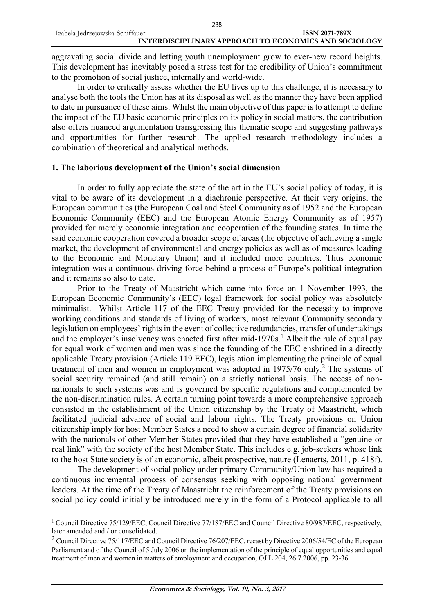aggravating social divide and letting youth unemployment grow to ever-new record heights. This development has inevitably posed a stress test for the credibility of Union's commitment to the promotion of social justice, internally and world-wide.

In order to critically assess whether the EU lives up to this challenge, it is necessary to analyse both the tools the Union has at its disposal as well as the manner they have been applied to date in pursuance of these aims. Whilst the main objective of this paper is to attempt to define the impact of the EU basic economic principles on its policy in social matters, the contribution also offers nuanced argumentation transgressing this thematic scope and suggesting pathways and opportunities for further research. The applied research methodology includes a combination of theoretical and analytical methods.

#### **1. The laborious development of the Union's social dimension**

In order to fully appreciate the state of the art in the EU's social policy of today, it is vital to be aware of its development in a diachronic perspective. At their very origins, the European communities (the European Coal and Steel Community as of 1952 and the European Economic Community (EEC) and the European Atomic Energy Community as of 1957) provided for merely economic integration and cooperation of the founding states. In time the said economic cooperation covered a broader scope of areas (the objective of achieving a single market, the development of environmental and energy policies as well as of measures leading to the Economic and Monetary Union) and it included more countries. Thus economic integration was a continuous driving force behind a process of Europe's political integration and it remains so also to date.

Prior to the Treaty of Maastricht which came into force on 1 November 1993, the European Economic Community's (EEC) legal framework for social policy was absolutely minimalist. Whilst Article 117 of the EEC Treaty provided for the necessity to improve working conditions and standards of living of workers, most relevant Community secondary legislation on employees' rights in the event of collective redundancies, transfer of undertakings and the employer's insolvency was enacted first after mid-1970s.<sup>1</sup> Albeit the rule of equal pay for equal work of women and men was since the founding of the EEC enshrined in a directly applicable Treaty provision (Article 119 EEC), legislation implementing the principle of equal treatment of men and women in employment was adopted in 1975/76 only.<sup>2</sup> The systems of social security remained (and still remain) on a strictly national basis. The access of nonnationals to such systems was and is governed by specific regulations and complemented by the non-discrimination rules. A certain turning point towards a more comprehensive approach consisted in the establishment of the Union citizenship by the Treaty of Maastricht, which facilitated judicial advance of social and labour rights. The Treaty provisions on Union citizenship imply for host Member States a need to show a certain degree of financial solidarity with the nationals of other Member States provided that they have established a "genuine or real link" with the society of the host Member State. This includes e.g. job-seekers whose link to the host State society is of an economic, albeit prospective, nature (Lenaerts, 2011, p. 418f).

The development of social policy under primary Community/Union law has required a continuous incremental process of consensus seeking with opposing national government leaders. At the time of the Treaty of Maastricht the reinforcement of the Treaty provisions on social policy could initially be introduced merely in the form of a Protocol applicable to all

<sup>1</sup> Council Directive 75/129/EEC, Council Directive 77/187/EEC and Council Directive 80/987/EEC, respectively, later amended and / or consolidated.

<sup>&</sup>lt;sup>2</sup> Council Directive 75/117/EEC and Council Directive 76/207/EEC, recast by Directive 2006/54/EC of the European Parliament and of the Council of 5 July 2006 on the implementation of the principle of equal opportunities and equal treatment of men and women in matters of employment and occupation, OJ L 204, 26.7.2006, pp. 23-36*.*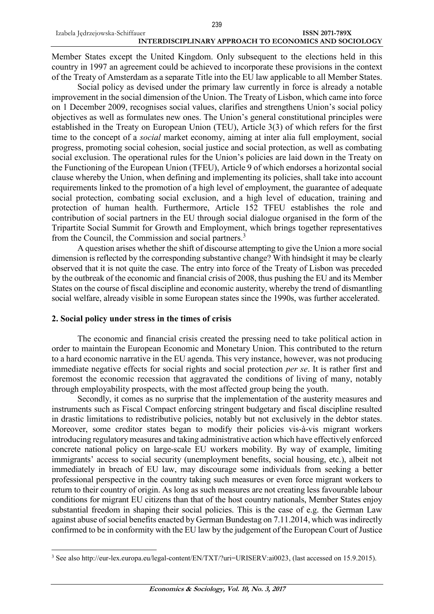Member States except the United Kingdom. Only subsequent to the elections held in this country in 1997 an agreement could be achieved to incorporate these provisions in the context of the Treaty of Amsterdam as a separate Title into the EU law applicable to all Member States.

Social policy as devised under the primary law currently in force is already a notable improvement in the social dimension of the Union. The Treaty of Lisbon, which came into force on 1 December 2009, recognises social values, clarifies and strengthens Union's social policy objectives as well as formulates new ones. The Union's general constitutional principles were established in the Treaty on European Union (TEU), Article 3(3) of which refers for the first time to the concept of a *social* market economy, aiming at inter alia full employment, social progress, promoting social cohesion, social justice and social protection, as well as combating social exclusion. The operational rules for the Union's policies are laid down in the Treaty on the Functioning of the European Union (TFEU), Article 9 of which endorses a horizontal social clause whereby the Union, when defining and implementing its policies, shall take into account requirements linked to the promotion of a high level of employment, the guarantee of adequate social protection, combating social exclusion, and a high level of education, training and protection of human health. Furthermore, Article [152](http://eur-lex.europa.eu/legal-content/EN/AUTO/?uri=OJ:C:2010:083:TOC) TFEU establishes the role and contribution of social partners in the EU through social dialogue organised in the form of the Tripartite Social Summit for Growth and [Employment,](http://eur-lex.europa.eu/legal-content/EN/AUTO/?uri=uriserv:c10715) which brings together representatives from the Council, the Commission and social partners.<sup>3</sup>

A question arises whether the shift of discourse attempting to give the Union a more social dimension is reflected by the corresponding substantive change? With hindsight it may be clearly observed that it is not quite the case. The entry into force of the Treaty of Lisbon was preceded by the outbreak of the economic and financial crisis of 2008, thus pushing the EU and its Member States on the course of fiscal discipline and economic austerity, whereby the trend of dismantling social welfare, already visible in some European states since the 1990s, was further accelerated.

#### **2. Social policy under stress in the times of crisis**

 $\overline{a}$ 

The economic and financial crisis created the pressing need to take political action in order to maintain the European Economic and Monetary Union. This contributed to the return to a hard economic narrative in the EU agenda. This very instance, however, was not producing immediate negative effects for social rights and social protection *per se*. It is rather first and foremost the economic recession that aggravated the conditions of living of many, notably through employability prospects, with the most affected group being the youth.

Secondly, it comes as no surprise that the implementation of the austerity measures and instruments such as Fiscal Compact enforcing stringent budgetary and fiscal discipline resulted in drastic limitations to redistributive policies, notably but not exclusively in the debtor states. Moreover, some creditor states began to modify their policies vis-à-vis migrant workers introducing regulatory measures and taking administrative action which have effectively enforced concrete national policy on large-scale EU workers mobility. By way of example, limiting immigrants' access to social security (unemployment benefits, social housing, etc.), albeit not immediately in breach of EU law, may discourage some individuals from seeking a better professional perspective in the country taking such measures or even force migrant workers to return to their country of origin. As long as such measures are not creating less favourable labour conditions for migrant EU citizens than that of the host country nationals, Member States enjoy substantial freedom in shaping their social policies. This is the case of e.g. the German Law against abuse of social benefits enacted by German Bundestag on 7.11.2014, which was indirectly confirmed to be in conformity with the EU law by the judgement of the European Court of Justice

<sup>&</sup>lt;sup>3</sup> See also [http://eur-lex.europa.eu/legal-content/EN/TXT/?uri=URISERV:ai0023,](http://eur-lex.europa.eu/legal-content/EN/TXT/?uri=URISERV:ai0023) (last accessed on 15.9.2015).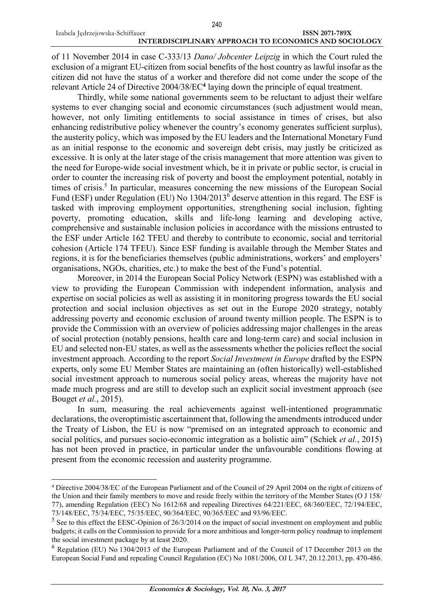of 11 November 2014 in case C-333/13 *Dano/ Jobcenter Leipzig* in which the Court ruled the exclusion of a migrant EU-citizen from social benefits of the host country as lawful insofar as the citizen did not have the status of a worker and therefore did not come under the scope of the relevant Article 24 of Directive 2004/38/EC**<sup>4</sup>** laying down the principle of equal treatment.

Thirdly, while some national governments seem to be reluctant to adjust their welfare systems to ever changing social and economic circumstances (such adjustment would mean, however, not only limiting entitlements to social assistance in times of crises, but also enhancing redistributive policy whenever the country's economy generates sufficient surplus), the austerity policy, which was imposed by the EU leaders and the International Monetary Fund as an initial response to the economic and sovereign debt crisis, may justly be criticized as excessive. It is only at the later stage of the crisis management that more attention was given to the need for Europe-wide social investment which, be it in private or public sector, is crucial in order to counter the increasing risk of poverty and boost the employment potential, notably in times of crisis.<sup>5</sup> In particular, measures concerning the new missions of the European Social Fund (ESF) under Regulation (EU) No 1304/2013<sup>6</sup> deserve attention in this regard. The ESF is tasked with improving employment opportunities, strengthening social inclusion, fighting poverty, promoting education, skills and life-long learning and developing active, comprehensive and sustainable inclusion policies in accordance with the missions entrusted to the ESF under Article 162 TFEU and thereby to contribute to economic, social and territorial cohesion (Article 174 TFEU). Since ESF funding is available through the Member States and regions, it is for the beneficiaries themselves (public administrations, workers' and employers' organisations, NGOs, charities, etc.) to make the best of the Fund's potential.

Moreover, in 2014 the European Social Policy Network (ESPN) was established with a view to providing the European Commission with independent information, analysis and expertise on social policies as well as assisting it in monitoring progress towards the EU [social](http://ec.europa.eu/social/main.jsp?langId=en&catId=750) [protection](http://ec.europa.eu/social/main.jsp?langId=en&catId=750) and social inclusion objectives as set out in the [Europe](http://ec.europa.eu/europe2020/index_en.htm) 2020 strategy, notably addressing poverty and economic exclusion of around twenty million people. The ESPN is to provide the Commission with an overview of policies addressing major challenges in the areas of social protection (notably [pensions,](http://ec.europa.eu/social/main.jsp?catId=752&langId=en) [health](http://ec.europa.eu/social/main.jsp?catId=754&langId=en) care and [long-term](http://ec.europa.eu/social/main.jsp?catId=792&langId=en) care) and social inclusion in EU and selected non-EU states, as well as the assessments whether the policies reflect the [social](http://ec.europa.eu/social/main.jsp?catId=1044&langId=en) [investment](http://ec.europa.eu/social/main.jsp?catId=1044&langId=en) approach. According to the report *Social Investment in Europe* drafted by the ESPN experts, only some EU Member States are maintaining an (often historically) well-established social investment approach to numerous social policy areas, whereas the majority have not made much progress and are still to develop such an explicit social investment approach (see Bouget *et al.*, 2015).

In sum, measuring the real achievements against well-intentioned programmatic declarations, the overoptimistic ascertainment that, following the amendments introduced under the Treaty of Lisbon, the EU is now "premised on an integrated approach to economic and social politics, and pursues socio-economic integration as a holistic aim" (Schiek *et al.*, 2015) has not been proved in practice, in particular under the unfavourable conditions flowing at present from the economic recession and austerity programme.

<sup>4</sup> Directive 2004/38/EC of the European Parliament and of the Council of 29 April 2004 on the right of citizens of the Union and their family members to move and reside freely within the territory of the Member States (O J 158/ 77), amending Regulation (EEC) No 1612/68 and repealing Directives 64/221/EEC, 68/360/EEC, 72/194/EEC, 73/148/EEC, 75/34/EEC, 75/35/EEC, 90/364/EEC, 90/365/EEC and 93/96/EEC.

 $<sup>5</sup>$  See to this effect the EESC-Opinion of 26/3/2014 on the impact of social investment on employment and public</sup> budgets; it calls on the Commission to provide for a more ambitious and longer-term policy roadmap to implement the social investment package by at least 2020.

<sup>6</sup> Regulation (EU) No 1304/2013 of the European Parliament and of the Council of 17 December 2013 on the European Social Fund and repealing Council Regulation (EC) No 1081/2006, OJ L 347, 20.12.2013, pp. 470-486.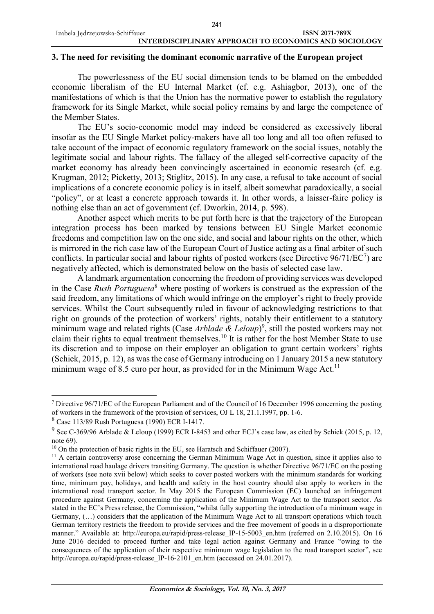#### **3. The need for revisiting the dominant economic narrative of the European project**

The powerlessness of the EU social dimension tends to be blamed on the embedded economic liberalism of the EU Internal Market (cf. e.g. Ashiagbor, 2013), one of the manifestations of which is that the Union has the normative power to establish the regulatory framework for its Single Market, while social policy remains by and large the competence of the Member States.

The EU's socio-economic model may indeed be considered as excessively liberal insofar as the EU Single Market policy-makers have all too long and all too often refused to take account of the impact of economic regulatory framework on the social issues, notably the legitimate social and labour rights. The fallacy of the alleged self-corrective capacity of the market economy has already been convincingly ascertained in economic research (cf. e.g. Krugman, 2012; Picketty, 2013; Stiglitz, 2015). In any case, a refusal to take account of social implications of a concrete economic policy is in itself, albeit somewhat paradoxically, a social "policy", or at least a concrete approach towards it. In other words, a laisser-faire policy is nothing else than an act of government (cf. Dworkin, 2014, p. 598).

Another aspect which merits to be put forth here is that the trajectory of the European integration process has been marked by tensions between EU Single Market economic freedoms and competition law on the one side, and social and labour rights on the other, which is mirrored in the rich case law of the European Court of Justice acting as a final arbiter of such conflicts. In particular social and labour rights of posted workers (see Directive  $96/71/EC^7$ ) are negatively affected, which is demonstrated below on the basis of selected case law.

A landmark argumentation concerning the freedom of providing services was developed in the Case *Rush Portuguesa*<sup>8</sup> where posting of workers is construed as the expression of the said freedom, any limitations of which would infringe on the employer's right to freely provide services. Whilst the Court subsequently ruled in favour of acknowledging restrictions to that right on grounds of the protection of workers' rights, notably their entitlement to a statutory minimum wage and related rights (Case *Arblade & Leloup*) 9 , still the posted workers may not claim their rights to equal treatment themselves.<sup>10</sup> It is rather for the host Member State to use its discretion and to impose on their employer an obligation to grant certain workers' rights (Schiek, 2015, p. 12), as wasthe case of Germany introducing on 1 January 2015 a new statutory minimum wage of 8.5 euro per hour, as provided for in the Minimum Wage Act.<sup>11</sup>

<sup>&</sup>lt;sup>7</sup> Directive 96/71/EC of the European Parliament and of the Council of 16 December 1996 concerning the posting of workers in the framework of the provision of services, OJ L 18, 21.1.1997, pp. 1-6.

<sup>8</sup> Case 113/89 Rush Portuguesa (1990) ECR I-1417.

<sup>&</sup>lt;sup>9</sup> See C-369/96 Arblade & Leloup (1999) ECR I-8453 and other ECJ's case law, as cited by Schiek (2015, p. 12, note 69).

 $10$  On the protection of basic rights in the EU, see Haratsch and Schiffauer (2007).

<sup>&</sup>lt;sup>11</sup> A certain controversy arose concerning the German Minimum Wage Act in question, since it applies also to international road haulage drivers transiting Germany. The question is whether Directive 96/71/EC on the posting of workers (see note xvii below) which seeks to cover posted workers with the minimum standards for working time, minimum pay, holidays, and health and safety in the host country should also apply to workers in the international road transport sector. In May 2015 the European Commission (EC) launched an infringement procedure against Germany, concerning the application of the Minimum Wage Act to the transport sector. As stated in the EC's Press release, the Commission, "whilst fully supporting the introduction of a minimum wage in Germany, (…) considers that the application of the Minimum Wage Act to all transport operations which touch German territory restricts the freedom to provide services and the free movement of goods in a disproportionate manner." Available at: http://europa.eu/rapid/press-release IP-15-5003 en.htm (referred on 2.10.2015). On 16 June 2016 decided to proceed further and take legal action against Germany and France "owing to the consequences of the application of their respective minimum wage legislation to the road transport sector", see http://europa.eu/rapid/press-release IP-16-2101 en.htm (accessed on 24.01.2017).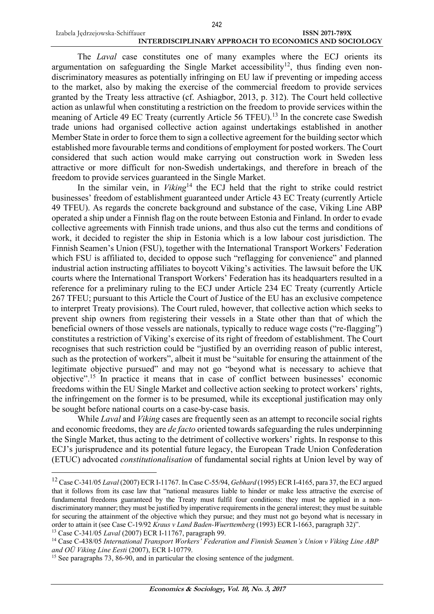$\overline{a}$ 

#### Izabela Jędrzejowska-Schiffauer **ISSN 2071-789X INTERDISCIPLINARY APPROACH TO ECONOMICS AND SOCIOLOGY** 242

The *Laval* case constitutes one of many examples where the ECJ orients its argumentation on safeguarding the Single Market accessibility<sup>12</sup>, thus finding even nondiscriminatory measures as potentially infringing on EU law if preventing or impeding access to the market, also by making the exercise of the commercial freedom to provide services granted by the Treaty less attractive (cf. Ashiagbor, 2013, p. 312). The Court held collective action as unlawful when constituting a restriction on the freedom to provide services within the meaning of Article 49 EC Treaty (currently Article 56 TFEU).<sup>13</sup> In the concrete case Swedish trade unions had organised collective action against undertakings established in another Member State in order to force them to sign a collective agreement for the building sector which established more favourable terms and conditions of employment for posted workers. The Court considered that such action would make carrying out construction work in Sweden less attractive or more difficult for non-Swedish undertakings, and therefore in breach of the freedom to provide services guaranteed in the Single Market.

In the similar vein, in *Viking*<sup>14</sup> the ECJ held that the right to strike could restrict businesses' freedom of establishment guaranteed under Article 43 EC Treaty (currently Article 49 TFEU). As regards the concrete background and substance of the case, Viking Line ABP operated a ship under a Finnish flag on the route between Estonia and Finland. In order to evade collective agreements with Finnish trade unions, and thus also cut the terms and conditions of work, it decided to register the ship in Estonia which is a low labour cost jurisdiction. The Finnish Seamen's Union (FSU), together with the International Transport Workers' Federation which FSU is affiliated to, decided to oppose such "reflagging for convenience" and planned industrial action instructing affiliates to boycott Viking's activities. The lawsuit before the UK courts where the International Transport Workers' Federation has its headquarters resulted in a reference for a preliminary ruling to the ECJ under Article 234 EC Treaty (currently Article 267 TFEU; pursuant to this Article the Court of Justice of the EU has an exclusive competence to interpret Treaty provisions). The Court ruled, however, that collective action which seeks to prevent ship owners from registering their vessels in a State other than that of which the beneficial owners of those vessels are nationals, typically to reduce wage costs ("re-flagging") constitutes a restriction of Viking's exercise of its right of freedom of establishment. The Court recognises that such restriction could be "justified by an overriding reason of public interest, such as the protection of workers", albeit it must be "suitable for ensuring the attainment of the legitimate objective pursued" and may not go "beyond what is necessary to achieve that objective".<sup>15</sup> In practice it means that in case of conflict between businesses' economic freedoms within the EU Single Market and collective action seeking to protect workers' rights, the infringement on the former is to be presumed, while its exceptional justification may only be sought before national courts on a case-by-case basis.

While *Laval* and *Viking* cases are frequently seen as an attempt to reconcile social rights and economic freedoms, they are *de facto* oriented towards safeguarding the rules underpinning the Single Market, thus acting to the detriment of collective workers' rights. In response to this ECJ's jurisprudence and its potential future legacy, the European Trade Union Confederation (ETUC) advocated *constitutionalisation* of fundamental social rights at Union level by way of

<sup>12</sup> Case C-341/05 *Laval* (2007) ECR I-11767. In Case C-55/94, *Gebhard* (1995) ECR I-4165, para 37, the ECJ argued that it follows from its case law that "national measures liable to hinder or make less attractive the exercise of fundamental freedoms guaranteed by the Treaty must fulfil four conditions: they must be applied in a nondiscriminatory manner; they must be justified by imperative requirementsin the general interest; they must be suitable for securing the attainment of the objective which they pursue; and they must not go beyond what is necessary in order to attain it (see Case C-19/92 *Kraus v Land Baden-Wuerttemberg* (1993) ECR I-1663, paragraph 32)". <sup>13</sup> Case C-341/05 *Laval* (2007) ECR I-11767, paragraph 99.

<sup>14</sup> Case C-438/05 *International Transport Workers' Federation and Finnish Seamen's Union v Viking Line ABP and OÜ Viking Line Eesti* (2007), ECR I-10779.

<sup>&</sup>lt;sup>15</sup> See paragraphs 73, 86-90, and in particular the closing sentence of the judgment.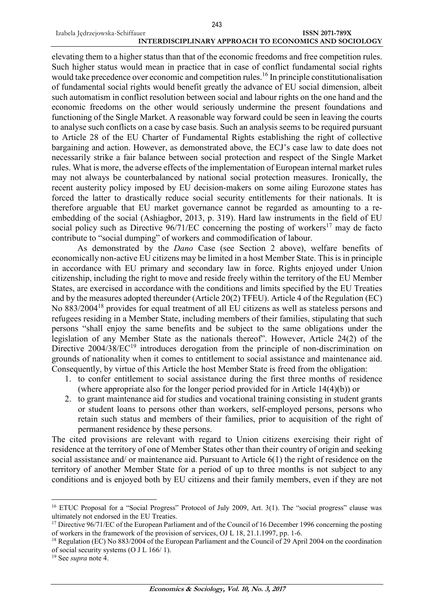elevating them to a higher status than that of the economic freedoms and free competition rules. Such higher status would mean in practice that in case of conflict fundamental social rights would take precedence over economic and competition rules.<sup>16</sup> In principle constitutionalisation of fundamental social rights would benefit greatly the advance of EU social dimension, albeit such automatism in conflict resolution between social and labour rights on the one hand and the economic freedoms on the other would seriously undermine the present foundations and functioning of the Single Market. A reasonable way forward could be seen in leaving the courts to analyse such conflicts on a case by case basis. Such an analysis seems to be required pursuant to Article 28 of the EU Charter of Fundamental Rights establishing the right of collective bargaining and action. However, as demonstrated above, the ECJ's case law to date does not necessarily strike a fair balance between social protection and respect of the Single Market rules. What is more, the adverse effects of the implementation of European internal market rules may not always be counterbalanced by national social protection measures. Ironically, the recent austerity policy imposed by EU decision-makers on some ailing Eurozone states has forced the latter to drastically reduce social security entitlements for their nationals. It is therefore arguable that EU market governance cannot be regarded as amounting to a reembedding of the social (Ashiagbor, 2013, p. 319). Hard law instruments in the field of EU social policy such as Directive  $96/71/EC$  concerning the posting of workers<sup>17</sup> may de facto contribute to "social dumping" of workers and commodification of labour.

As demonstrated by the *Dano* Case (see Section 2 above), welfare benefits of economically non-active EU citizens may be limited in a host Member State. This is in principle in accordance with EU primary and secondary law in force. Rights enjoyed under Union citizenship, including the right to move and reside freely within the territory of the EU Member States, are exercised in accordance with the conditions and limits specified by the EU Treaties and by the measures adopted thereunder (Article 20(2) TFEU). Article 4 of the Regulation (EC) No 883/2004<sup>18</sup> provides for equal treatment of all EU citizens as well as stateless persons and refugees residing in a Member State, including members of their families, stipulating that such persons "shall enjoy the same benefits and be subject to the same obligations under the legislation of any Member State as the nationals thereof". However, Article 24(2) of the Directive  $2004/38/EC^{19}$  introduces derogation from the principle of non-discrimination on grounds of nationality when it comes to entitlement to social assistance and maintenance aid. Consequently, by virtue of this Article the host Member State is freed from the obligation:

- 1. to confer entitlement to social assistance during the first three months of residence (where appropriate also for the longer period provided for in Article 14(4)(b)) or
- 2. to grant maintenance aid for studies and vocational training consisting in student grants or student loans to persons other than workers, self-employed persons, persons who retain such status and members of their families, prior to acquisition of the right of permanent residence by these persons.

The cited provisions are relevant with regard to Union citizens exercising their right of residence at the territory of one of Member States other than their country of origin and seeking social assistance and/ or maintenance aid. Pursuant to Article 6(1) the right of residence on the territory of another Member State for a period of up to three months is not subject to any conditions and is enjoyed both by EU citizens and their family members, even if they are not

<sup>&</sup>lt;sup>16</sup> ETUC Proposal for a "Social Progress" Protocol of July 2009, Art. 3(1). The "social progress" clause was ultimately not endorsed in the EU Treaties.

<sup>&</sup>lt;sup>17</sup> Directive 96/71/EC of the European Parliament and of the Council of 16 December 1996 concerning the posting of workers in the framework of the provision of services, OJ L 18, 21.1.1997, pp. 1-6.

<sup>18</sup> Regulation (EC) No 883/2004 of the European Parliament and the Council of 29 April 2004 on the coordination of social security systems (O J L 166/ 1).

<sup>19</sup> See *supra* note 4.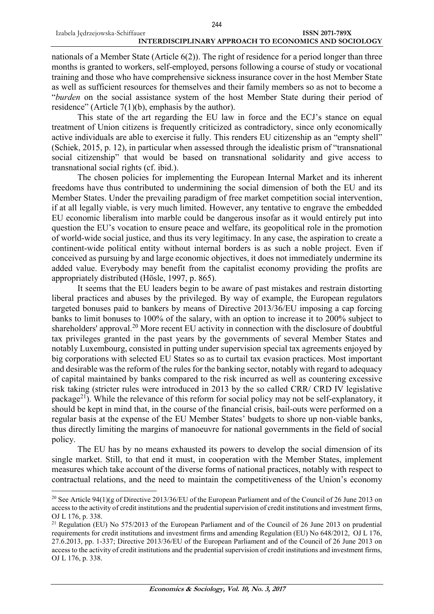nationals of a Member State (Article 6(2)). The right of residence for a period longer than three months is granted to workers, self-employed, persons following a course of study or vocational training and those who have comprehensive sickness insurance cover in the host Member State as well as sufficient resources for themselves and their family members so as not to become a "*burden* on the social assistance system of the host Member State during their period of residence" (Article 7(1)(b), emphasis by the author).

This state of the art regarding the EU law in force and the ECJ's stance on equal treatment of Union citizens is frequently criticized as contradictory, since only economically active individuals are able to exercise it fully. This renders EU citizenship as an "empty shell" (Schiek, 2015, p. 12), in particular when assessed through the idealistic prism of "transnational social citizenship" that would be based on transnational solidarity and give access to transnational social rights (cf. ibid.).

The chosen policies for implementing the European Internal Market and its inherent freedoms have thus contributed to undermining the social dimension of both the EU and its Member States. Under the prevailing paradigm of free market competition social intervention, if at all legally viable, is very much limited. However, any tentative to engrave the embedded EU economic liberalism into marble could be dangerous insofar as it would entirely put into question the EU's vocation to ensure peace and welfare, its geopolitical role in the promotion of world-wide social justice, and thus its very legitimacy. In any case, the aspiration to create a continent-wide political entity without internal borders is as such a noble project. Even if conceived as pursuing by and large economic objectives, it does not immediately undermine its added value. Everybody may benefit from the capitalist economy providing the profits are appropriately distributed (Hösle, 1997, p. 865).

It seems that the EU leaders begin to be aware of past mistakes and restrain distorting liberal practices and abuses by the privileged. By way of example, the European regulators targeted bonuses paid to bankers by means of Directive 2013/36/EU imposing a cap forcing banks to limit bonuses to 100% of the salary, with an option to increase it to 200% subject to shareholders' approval.<sup>20</sup> More recent EU activity in connection with the disclosure of doubtful tax privileges granted in the past years by the governments of several Member States and notably Luxembourg, consisted in putting under supervision special tax agreements enjoyed by big corporations with selected EU States so as to curtail tax evasion practices. Most important and desirable was the reform of the rules for the banking sector, notably with regard to adequacy of capital maintained by banks compared to the risk incurred as well as countering excessive risk taking (stricter rules were introduced in 2013 by the so called CRR/ CRD IV legislative package<sup>21</sup>). While the relevance of this reform for social policy may not be self-explanatory, it should be kept in mind that, in the course of the financial crisis, bail-outs were performed on a regular basis at the expense of the EU Member States' budgets to shore up non-viable banks, thus directly limiting the margins of manoeuvre for national governments in the field of social policy.

The EU has by no means exhausted its powers to develop the social dimension of its single market. Still, to that end it must, in cooperation with the Member States, implement measures which take account of the diverse forms of national practices, notably with respect to contractual relations, and the need to maintain the competitiveness of the Union's economy

<sup>20</sup> See Article 94(1)(g of Directive 2013/36/EU of the European Parliament and of the Council of 26 June 2013 on access to the activity of credit institutions and the prudential supervision of credit institutions and investment firms, OJ L 176, p. 338.

<sup>&</sup>lt;sup>21</sup> Regulation (EU) No 575/2013 of the European Parliament and of the Council of 26 June 2013 on prudential requirements for credit institutions and investment firms and amending Regulation (EU) No 648/2012, OJ L 176, 27.6.2013, pp. 1-337; Directive 2013/36/EU of the European Parliament and of the Council of 26 June 2013 on access to the activity of credit institutions and the prudential supervision of credit institutions and investment firms, OJ L 176, p. 338.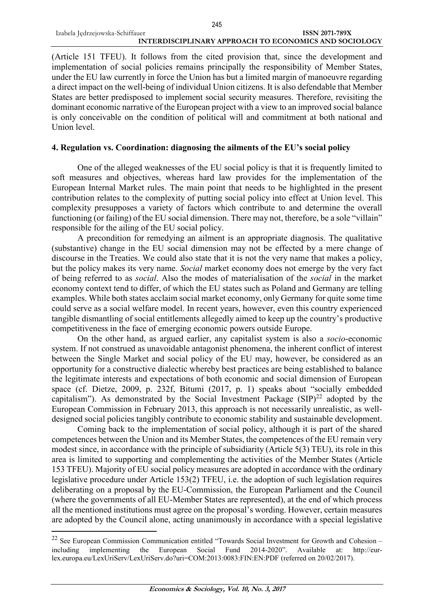(Article 151 TFEU). It follows from the cited provision that, since the development and implementation of social policies remains principally the responsibility of Member States, under the EU law currently in force the Union has but a limited margin of manoeuvre regarding a direct impact on the well-being of individual Union citizens. It is also defendable that Member States are better predisposed to implement social security measures. Therefore, revisiting the dominant economic narrative of the European project with a view to an improved social balance is only conceivable on the condition of political will and commitment at both national and Union level.

#### **4. Regulation vs. Coordination: diagnosing the ailments of the EU's social policy**

One of the alleged weaknesses of the EU social policy is that it is frequently limited to soft measures and objectives, whereas hard law provides for the implementation of the European Internal Market rules. The main point that needs to be highlighted in the present contribution relates to the complexity of putting social policy into effect at Union level. This complexity presupposes a variety of factors which contribute to and determine the overall functioning (or failing) of the EU social dimension. There may not, therefore, be a sole "villain" responsible for the ailing of the EU social policy.

A precondition for remedying an ailment is an appropriate diagnosis. The qualitative (substantive) change in the EU social dimension may not be effected by a mere change of discourse in the Treaties. We could also state that it is not the very name that makes a policy, but the policy makes its very name. *Social* market economy does not emerge by the very fact of being referred to as *social*. Also the modes of materialisation of the *social* in the market economy context tend to differ, of which the EU states such as Poland and Germany are telling examples. While both states acclaim social market economy, only Germany for quite some time could serve as a social welfare model. In recent years, however, even this country experienced tangible dismantling of social entitlements allegedly aimed to keep up the country's productive competitiveness in the face of emerging economic powers outside Europe.

On the other hand, as argued earlier, any capitalist system is also a *socio*-economic system. If not construed as unavoidable antagonist phenomena, the inherent conflict of interest between the Single Market and social policy of the EU may, however, be considered as an opportunity for a constructive dialectic whereby best practices are being established to balance the legitimate interests and expectations of both economic and social dimension of European space (cf. Dietze, 2009, p. 232f, Bitumi (2017, p. 1) speaks about "socially embedded capitalism"). As demonstrated by the Social Investment Package  $(SIP)^{22}$  adopted by the European Commission in February 2013, this approach is not necessarily unrealistic, as welldesigned social policies tangibly contribute to economic stability and sustainable development.

Coming back to the implementation of social policy, although it is part of the shared competences between the Union and its Member States, the competences of the EU remain very modest since, in accordance with the principle of subsidiarity (Article 5(3) TEU), its role in this area is limited to supporting and complementing the activities of the Member States (Article 153 TFEU). Majority of EU social policy measures are adopted in accordance with the ordinary legislative procedure under Article 153(2) TFEU, i.e. the adoption of such legislation requires deliberating on a proposal by the EU-Commission, the European Parliament and the Council (where the governments of all EU-Member States are represented), at the end of which process all the mentioned institutions must agree on the proposal's wording. However, certain measures are adopted by the Council alone, acting unanimously in accordance with a special legislative

<sup>&</sup>lt;sup>22</sup> See European Commission Communication entitled "Towards Social Investment for Growth and Cohesion – including implementing the European Social Fund 2014-2020". Available at: [http://eur](http://eur-lex.europa.eu/LexUriServ/LexUriServ.do?uri=COM:2013:0083:FIN:EN:PDF)[lex.europa.eu/LexUriServ/LexUriServ.do?uri=COM:2013:0083:FIN:EN:PDF](http://eur-lex.europa.eu/LexUriServ/LexUriServ.do?uri=COM:2013:0083:FIN:EN:PDF) (referred on 20/02/2017).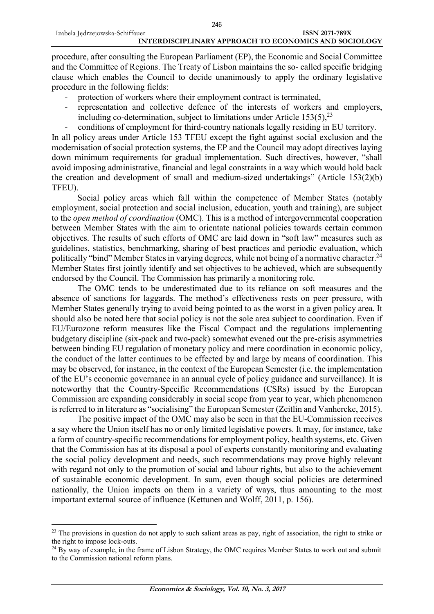$\overline{a}$ 

procedure, after consulting the European Parliament (EP), the Economic and Social Committee and the Committee of Regions. The Treaty of Lisbon maintains the so- called specific bridging clause which enables the Council to decide unanimously to apply the ordinary legislative procedure in the following fields:

- protection of workers where their employment contract is terminated,
- representation and collective defence of the interests of workers and employers, including co-determination, subject to limitations under Article  $153(5)$ ,  $23$
- conditions of employment for third-country nationals legally residing in EU territory.

In all policy areas under Article 153 TFEU except the fight against social exclusion and the modernisation of social protection systems, the EP and the Council may adopt directives laying down minimum requirements for gradual implementation. Such directives, however, "shall avoid imposing administrative, financial and legal constraints in a way which would hold back the creation and development of small and medium-sized undertakings" (Article 153(2)(b) TFEU).

Social policy areas which fall within the competence of Member States (notably employment, social protection and social inclusion, education, youth and training), are subject to the *open method of coordination* (OMC). This is a method of intergovernmental cooperation between Member States with the aim to orientate national policies towards certain common objectives. The results of such efforts of OMC are laid down in "soft law" measures such as guidelines, statistics, benchmarking, sharing of best practices and periodic evaluation, which politically "bind" Member States in varying degrees, while not being of a normative character.<sup>24</sup> Member States first jointly identify and set objectives to be achieved, which are subsequently endorsed by the Council. The Commission has primarily a monitoring role.

The OMC tends to be underestimated due to its reliance on soft measures and the absence of sanctions for laggards. The method's effectiveness rests on peer pressure, with Member States generally trying to avoid being pointed to as the worst in a given policy area. It should also be noted here that social policy is not the sole area subject to coordination. Even if EU/Eurozone reform measures like the Fiscal Compact and the regulations implementing budgetary discipline (six-pack and two-pack) somewhat evened out the pre-crisis asymmetries between binding EU regulation of monetary policy and mere coordination in economic policy, the conduct of the latter continues to be effected by and large by means of coordination. This may be observed, for instance, in the context of the European Semester (i.e. the implementation of the EU's economic governance in an annual cycle of policy guidance and surveillance). It is noteworthy that the Country-Specific Recommendations (CSRs) issued by the European Commission are expanding considerably in social scope from year to year, which phenomenon is referred to in literature as "socialising" the European Semester (Zeitlin and Vanhercke, 2015).

The positive impact of the OMC may also be seen in that the EU-Commission receives a say where the Union itself has no or only limited legislative powers. It may, for instance, take a form of country-specific recommendations for employment policy, health systems, etc. Given that the Commission has at its disposal a pool of experts constantly monitoring and evaluating the social policy development and needs, such recommendations may prove highly relevant with regard not only to the promotion of social and labour rights, but also to the achievement of sustainable economic development. In sum, even though social policies are determined nationally, the Union impacts on them in a variety of ways, thus amounting to the most important external source of influence (Kettunen and Wolff, 2011, p. 156).

<sup>&</sup>lt;sup>23</sup> The provisions in question do not apply to such salient areas as pay, right of association, the right to strike or the right to impose lock-outs.

<sup>&</sup>lt;sup>24</sup> By way of example, in the frame of Lisbon Strategy, the OMC requires Member States to work out and submit to the Commission national reform plans.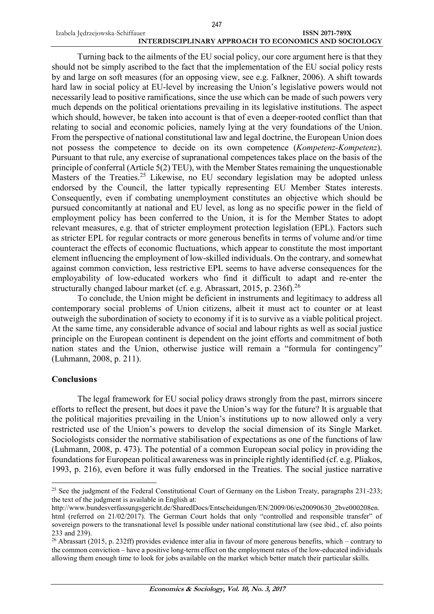Turning back to the ailments of the EU social policy, our core argument here is that they should not be simply ascribed to the fact that the implementation of the EU social policy rests by and large on soft measures (for an opposing view, see e.g. Falkner, 2006). A shift towards hard law in social policy at EU-level by increasing the Union's legislative powers would not necessarily lead to positive ramifications, since the use which can be made of such powers very much depends on the political orientations prevailing in its legislative institutions. The aspect which should, however, be taken into account is that of even a deeper-rooted conflict than that relating to social and economic policies, namely lying at the very foundations of the Union. From the perspective of national constitutional law and legal doctrine, the European Union does not possess the competence to decide on its own competence (*Kompetenz-Kompetenz*). Pursuant to that rule, any exercise of supranational competences takes place on the basis of the principle of conferral (Article 5(2) TEU), with the Member States remaining the unquestionable Masters of the Treaties.<sup>25</sup> Likewise, no EU secondary legislation may be adopted unless endorsed by the Council, the latter typically representing EU Member States interests. Consequently, even if combating unemployment constitutes an objective which should be pursued concomitantly at national and EU level, as long as no specific power in the field of employment policy has been conferred to the Union, it is for the Member States to adopt relevant measures, e.g. that of stricter employment protection legislation (EPL). Factors such as stricter EPL for regular contracts or more generous benefits in terms of volume and/or time counteract the effects of economic fluctuations, which appear to constitute the most important element influencing the employment of low-skilled individuals. On the contrary, and somewhat against common conviction, less restrictive EPL seems to have adverse consequences for the employability of low-educated workers who find it difficult to adapt and re-enter the structurally changed labour market (cf. e.g. Abrassart, 2015, p. 236f).<sup>26</sup>

To conclude, the Union might be deficient in instruments and legitimacy to address all contemporary social problems of Union citizens, albeit it must act to counter or at least outweigh the subordination of society to economy if it is to survive as a viable political project. At the same time, any considerable advance of social and labour rights as well as social justice principle on the European continent is dependent on the joint efforts and commitment of both nation states and the Union, otherwise justice will remain a "formula for contingency" (Luhmann, 2008, p. 211).

#### **Conclusions**

 $\overline{a}$ 

The legal framework for EU social policy draws strongly from the past, mirrors sincere efforts to reflect the present, but does it pave the Union's way for the future? It is arguable that the political majorities prevailing in the Union's institutions up to now allowed only a very restricted use of the Union's powers to develop the social dimension of its Single Market. Sociologists consider the normative stabilisation of expectations as one of the functions of law (Luhmann, 2008, p. 473). The potential of a common European social policy in providing the foundations for European political awareness was in principle rightly identified (cf. e.g. Pliakos, 1993, p. 216), even before it was fully endorsed in the Treaties. The social justice narrative

<sup>&</sup>lt;sup>25</sup> See the judgment of the Federal Constitutional Court of Germany on the Lisbon Treaty, paragraphs 231-233; the text of the judgment is available in English at:

[http://www.bundesverfassungsgericht.de/SharedDocs/Entscheidungen/EN/2009/06/es20090630\\_2bve000208en.](http://www.bundesverfassungsgericht.de/SharedDocs/Entscheidungen/EN/2009/06/es20090630_2bve000208en.html) [html](http://www.bundesverfassungsgericht.de/SharedDocs/Entscheidungen/EN/2009/06/es20090630_2bve000208en.html) (referred on 21/02/2017). The German Court holds that only "controlled and responsible transfer" of

sovereign powers to the transnational level Is possible under national constitutional law (see ibid., cf. also points 233 and 239). <sup>26</sup> Abrassart (2015, p. 232ff) provides evidence inter alia in favour of more generous benefits, which – contrary to

the common conviction – have a positive long-term effect on the employment rates of the low-educated individuals allowing them enough time to look for jobs available on the market which better match their particular skills.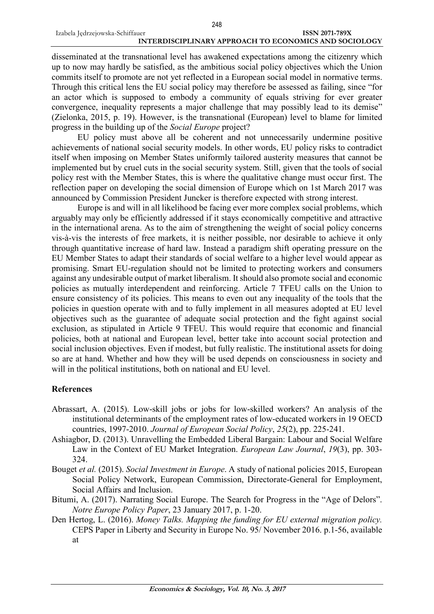disseminated at the transnational level has awakened expectations among the citizenry which up to now may hardly be satisfied, as the ambitious social policy objectives which the Union commits itself to promote are not yet reflected in a European social model in normative terms. Through this critical lens the EU social policy may therefore be assessed as failing, since "for an actor which is supposed to embody a community of equals striving for ever greater convergence, inequality represents a major challenge that may possibly lead to its demise" (Zielonka, 2015, p. 19). However, is the transnational (European) level to blame for limited progress in the building up of the *Social Europe* project?

EU policy must above all be coherent and not unnecessarily undermine positive achievements of national social security models. In other words, EU policy risks to contradict itself when imposing on Member States uniformly tailored austerity measures that cannot be implemented but by cruel cuts in the social security system. Still, given that the tools of social policy rest with the Member States, this is where the qualitative change must occur first. The reflection paper on developing the social dimension of Europe which on 1st March 2017 was announced by Commission President Juncker is therefore expected with strong interest.

Europe is and will in all likelihood be facing ever more complex social problems, which arguably may only be efficiently addressed if it stays economically competitive and attractive in the international arena. As to the aim of strengthening the weight of social policy concerns vis-à-vis the interests of free markets, it is neither possible, nor desirable to achieve it only through quantitative increase of hard law. Instead a paradigm shift operating pressure on the EU Member States to adapt their standards of social welfare to a higher level would appear as promising. Smart EU-regulation should not be limited to protecting workers and consumers against any undesirable output of market liberalism. It should also promote social and economic policies as mutually interdependent and reinforcing. Article 7 TFEU calls on the Union to ensure consistency of its policies. This means to even out any inequality of the tools that the policies in question operate with and to fully implement in all measures adopted at EU level objectives such as the guarantee of adequate social protection and the fight against social exclusion, as stipulated in Article 9 TFEU. This would require that economic and financial policies, both at national and European level, better take into account social protection and social inclusion objectives. Even if modest, but fully realistic. The institutional assets for doing so are at hand. Whether and how they will be used depends on consciousness in society and will in the political institutions, both on national and EU level.

#### **References**

- Abrassart, A. (2015). Low-skill jobs or jobs for low-skilled workers? An analysis of the institutional determinants of the employment rates of low-educated workers in 19 OECD countries, 1997-2010. *Journal of European Social Policy*, *25*(2), pp. 225-241.
- Ashiagbor, D. (2013). Unravelling the Embedded Liberal Bargain: Labour and Social Welfare Law in the Context of EU Market Integration. *European Law Journal*, *19*(3), pp. 303- 324.
- Bouget *et al.* (2015). *Social Investment in Europe*. A study of national policies 2015, European Social Policy Network, European Commission, Directorate-General for Employment, Social Affairs and Inclusion.
- Bitumi, A. (2017). Narrating Social Europe. The Search for Progress in the "Age of Delors". *Notre Europe Policy Paper*, 23 January 2017, p. 1-20.
- Den Hertog, L. (2016). *Money Talks. Mapping the funding for EU external migration policy.* CEPS Paper in Liberty and Security in Europe No. 95/ November 2016. p.1-56, available at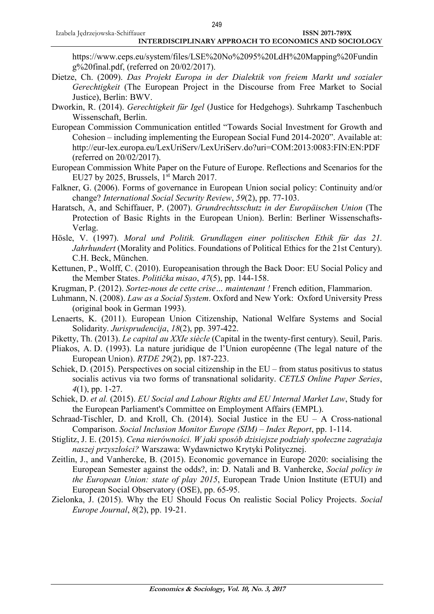https://www.ceps.eu/system/files/LSE%20No%2095%20LdH%20Mapping%20Fundin g%20final.pdf, (referred on 20/02/2017).

- Dietze, Ch. (2009). *Das Projekt Europa in der Dialektik von freiem Markt und sozialer Gerechtigkeit* (The European Project in the Discourse from Free Market to Social Justice), Berlin: BWV.
- Dworkin, R. (2014). *Gerechtigkeit für Igel* (Justice for Hedgehogs). Suhrkamp Taschenbuch Wissenschaft, Berlin.
- European Commission Communication entitled "Towards Social Investment for Growth and Cohesion – including implementing the European Social Fund 2014-2020". Available at: <http://eur-lex.europa.eu/LexUriServ/LexUriServ.do?uri=COM:2013:0083:FIN:EN:PDF> (referred on 20/02/2017).
- European Commission White Paper on the Future of Europe. Reflections and Scenarios for the EU27 by 2025, Brussels, 1<sup>st</sup> March 2017.
- Falkner, G. (2006). Forms of governance in European Union social policy: Continuity and/or change? *International Social Security Review*, *59*(2), pp. 77-103.
- Haratsch, A, and Schiffauer, P. (2007). *Grundrechtsschutz in der Europäischen Union* (The Protection of Basic Rights in the European Union). Berlin: Berliner Wissenschafts-Verlag.
- Hösle, V. (1997). *Moral und Politik. Grundlagen einer politischen Ethik für das 21. Jahrhundert* (Morality and Politics. Foundations of Political Ethics for the 21st Century). C.H. Beck, München.
- Kettunen, P., Wolff, C. (2010). Europeanisation through the Back Door: EU Social Policy and the Member States. *Politička misao*, *47*(5), pp. 144-158.
- Krugman, P. (2012). *Sortez-nous de cette crise… maintenant !* French edition, Flammarion.
- Luhmann, N. (2008). *Law as a Social System*. Oxford and New York: Oxford University Press (original book in German 1993).
- Lenaerts, K. (2011). European Union Citizenship, National Welfare Systems and Social Solidarity. *Jurisprudencija*, *18*(2), pp. 397-422.
- Piketty, Th. (2013). *Le capital au XXIe siècle* (Capital in the twenty-first century). Seuil, Paris.
- Pliakos, A. D. (1993). La nature juridique de l'Union européenne (The legal nature of the European Union). *RTDE 29*(2), pp. 187-223.
- Schiek, D. (2015). Perspectives on social citizenship in the EU from status positivus to status socialis activus via two forms of transnational solidarity. *CETLS Online Paper Series*, *4*(1), pp. 1-27.
- Schiek, D. *et al.* (2015). *EU Social and Labour Rights and EU Internal Market Law*, Study for the European Parliament's Committee on Employment Affairs (EMPL).
- Schraad-Tischler, D. and Kroll, Ch. (2014). Social Justice in the EU A Cross-national Comparison. *Social Inclusion Monitor Europe (SIM) – Index Report*, pp. 1-114.
- Stiglitz, J. E. (2015). *Cena nierówności. W jaki sposób dzisiejsze podziały społeczne zagrażaja naszej przyszłości?* Warszawa: Wydawnictwo Krytyki Politycznej.
- Zeitlin, J., and Vanhercke, B. (2015). Economic governance in Europe 2020: socialising the European Semester against the odds?, in: D. Natali and B. Vanhercke, *Social policy in the European Union: state of play 2015*, European Trade Union Institute (ETUI) and European Social Observatory (OSE), pp. 65-95.
- Zielonka, J. (2015). Why the EU Should Focus On realistic Social Policy Projects. *Social Europe Journal*, *8*(2), pp. 19-21.